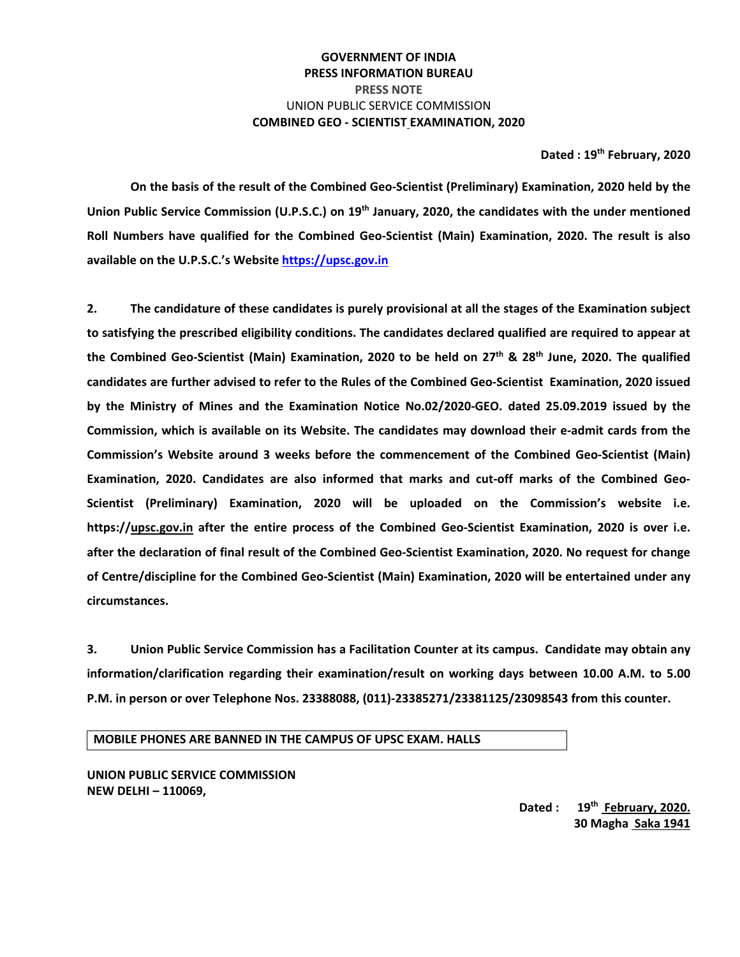## **GOVERNMENT OF INDIA PRESS INFORMATION BUREAU PRESS NOTE**  UNION PUBLIC SERVICE COMMISSION **COMBINED GEO ‐ SCIENTIST EXAMINATION, 2020**

#### **Dated : 19th February, 2020**

**On the basis of the result of the Combined Geo‐Scientist (Preliminary) Examination, 2020 held by the**  Union Public Service Commission (U.P.S.C.) on 19<sup>th</sup> January, 2020, the candidates with the under mentioned **Roll Numbers have qualified for the Combined Geo‐Scientist (Main) Examination, 2020. The result is also available on the U.P.S.C.'s Website https://upsc.gov.in**

**2. The candidature of these candidates is purely provisional at all the stages of the Examination subject to satisfying the prescribed eligibility conditions. The candidates declared qualified are required to appear at**  the Combined Geo-Scientist (Main) Examination, 2020 to be held on  $27<sup>th</sup>$  &  $28<sup>th</sup>$  June, 2020. The qualified **candidates are further advised to refer to the Rules of the Combined Geo‐Scientist Examination, 2020 issued by the Ministry of Mines and the Examination Notice No.02/2020‐GEO. dated 25.09.2019 issued by the Commission, which is available on its Website. The candidates may download their e‐admit cards from the Commission's Website around 3 weeks before the commencement of the Combined Geo‐Scientist (Main) Examination, 2020. Candidates are also informed that marks and cut‐off marks of the Combined Geo‐ Scientist (Preliminary) Examination, 2020 will be uploaded on the Commission's website i.e. https://upsc.gov.in after the entire process of the Combined Geo‐Scientist Examination, 2020 is over i.e. after the declaration of final result of the Combined Geo‐Scientist Examination, 2020. No request for change of Centre/discipline for the Combined Geo‐Scientist (Main) Examination, 2020 will be entertained under any circumstances.** 

**3. Union Public Service Commission has a Facilitation Counter at its campus. Candidate may obtain any information/clarification regarding their examination/result on working days between 10.00 A.M. to 5.00 P.M. in person or over Telephone Nos. 23388088, (011)‐23385271/23381125/23098543 from this counter.** 

**MOBILE PHONES ARE BANNED IN THE CAMPUS OF UPSC EXAM. HALLS** 

**UNION PUBLIC SERVICE COMMISSION NEW DELHI – 110069,** 

> **Dated : 19th February, 2020. 30 Magha Saka 1941**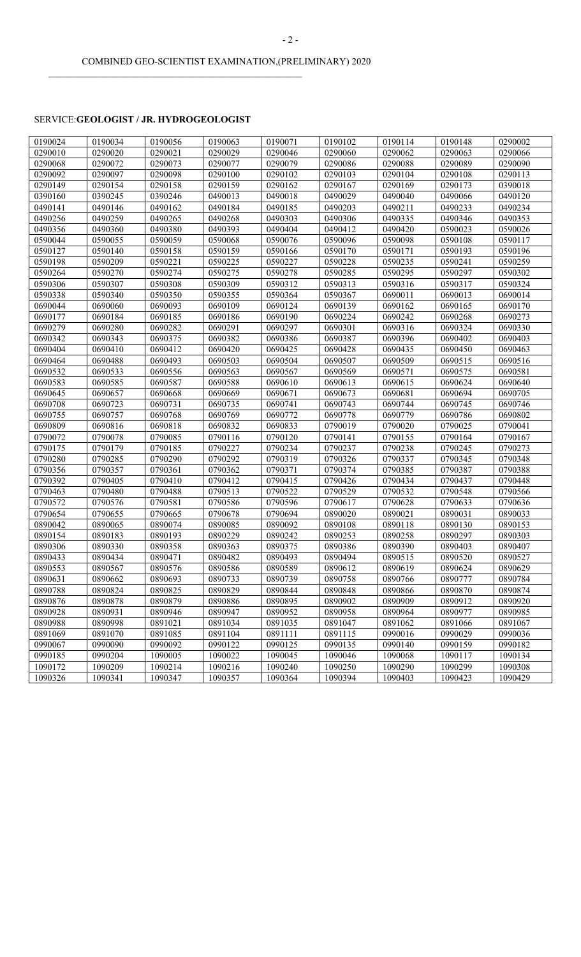### SERVICE:**GEOLOGIST / JR. HYDROGEOLOGIST**

 $\mathcal{L}_\text{max}$  and  $\mathcal{L}_\text{max}$  and  $\mathcal{L}_\text{max}$  and  $\mathcal{L}_\text{max}$  and  $\mathcal{L}_\text{max}$ 

| 0190024 | 0190034 | 0190056 | 0190063 | 0190071 | 0190102 | 0190114 | 0190148 | 0290002 |
|---------|---------|---------|---------|---------|---------|---------|---------|---------|
| 0290010 | 0290020 | 0290021 | 0290029 | 0290046 | 0290060 | 0290062 | 0290063 | 0290066 |
| 0290068 | 0290072 | 0290073 | 0290077 | 0290079 | 0290086 | 0290088 | 0290089 | 0290090 |
| 0290092 | 0290097 | 0290098 | 0290100 | 0290102 | 0290103 | 0290104 | 0290108 | 0290113 |
| 0290149 | 0290154 | 0290158 | 0290159 | 0290162 | 0290167 | 0290169 | 0290173 | 0390018 |
| 0390160 | 0390245 | 0390246 | 0490013 | 0490018 | 0490029 | 0490040 | 0490066 | 0490120 |
| 0490141 | 0490146 | 0490162 | 0490184 | 0490185 | 0490203 | 0490211 | 0490233 | 0490234 |
| 0490256 | 0490259 | 0490265 | 0490268 | 0490303 | 0490306 | 0490335 | 0490346 | 0490353 |
| 0490356 | 0490360 | 0490380 | 0490393 | 0490404 | 0490412 | 0490420 | 0590023 | 0590026 |
| 0590044 | 0590055 | 0590059 | 0590068 | 0590076 | 0590096 | 0590098 | 0590108 | 0590117 |
| 0590127 | 0590140 | 0590158 | 0590159 | 0590166 | 0590170 | 0590171 | 0590193 | 0590196 |
| 0590198 | 0590209 | 0590221 | 0590225 | 0590227 | 0590228 | 0590235 | 0590241 | 0590259 |
| 0590264 | 0590270 | 0590274 | 0590275 | 0590278 | 0590285 | 0590295 | 0590297 | 0590302 |
| 0590306 | 0590307 | 0590308 | 0590309 | 0590312 | 0590313 | 0590316 | 0590317 | 0590324 |
| 0590338 | 0590340 | 0590350 | 0590355 | 0590364 | 0590367 | 0690011 | 0690013 | 0690014 |
| 0690044 | 0690060 | 0690093 | 0690109 | 0690124 | 0690139 | 0690162 | 0690165 | 0690170 |
| 0690177 | 0690184 | 0690185 | 0690186 | 0690190 | 0690224 | 0690242 | 0690268 | 0690273 |
| 0690279 | 0690280 | 0690282 | 0690291 | 0690297 | 0690301 | 0690316 | 0690324 | 0690330 |
| 0690342 | 0690343 | 0690375 | 0690382 | 0690386 | 0690387 | 0690396 | 0690402 | 0690403 |
| 0690404 | 0690410 | 0690412 | 0690420 | 0690425 | 0690428 | 0690435 | 0690450 | 0690463 |
| 0690464 | 0690488 | 0690493 | 0690503 | 0690504 | 0690507 | 0690509 | 0690515 | 0690516 |
| 0690532 | 0690533 | 0690556 | 0690563 | 0690567 | 0690569 | 0690571 | 0690575 | 0690581 |
| 0690583 | 0690585 | 0690587 | 0690588 | 0690610 | 0690613 | 0690615 | 0690624 | 0690640 |
| 0690645 | 0690657 | 0690668 | 0690669 | 0690671 | 0690673 | 0690681 | 0690694 | 0690705 |
| 0690708 | 0690723 | 0690731 | 0690735 | 0690741 | 0690743 | 0690744 | 0690745 | 0690746 |
| 0690755 | 0690757 | 0690768 | 0690769 | 0690772 | 0690778 | 0690779 | 0690786 | 0690802 |
| 0690809 | 0690816 | 0690818 | 0690832 | 0690833 | 0790019 | 0790020 | 0790025 | 0790041 |
| 0790072 | 0790078 | 0790085 | 0790116 | 0790120 | 0790141 | 0790155 | 0790164 | 0790167 |
| 0790175 | 0790179 | 0790185 | 0790227 | 0790234 | 0790237 | 0790238 | 0790245 | 0790273 |
| 0790280 | 0790285 | 0790290 | 0790292 | 0790319 | 0790326 | 0790337 | 0790345 | 0790348 |
| 0790356 | 0790357 | 0790361 | 0790362 | 0790371 | 0790374 | 0790385 | 0790387 | 0790388 |
| 0790392 | 0790405 | 0790410 | 0790412 | 0790415 | 0790426 | 0790434 | 0790437 | 0790448 |
| 0790463 | 0790480 | 0790488 | 0790513 | 0790522 | 0790529 | 0790532 | 0790548 | 0790566 |
| 0790572 | 0790576 | 0790581 | 0790586 | 0790596 | 0790617 | 0790628 | 0790633 | 0790636 |
| 0790654 | 0790655 | 0790665 | 0790678 | 0790694 | 0890020 | 0890021 | 0890031 | 0890033 |
| 0890042 | 0890065 | 0890074 | 0890085 | 0890092 | 0890108 | 0890118 | 0890130 | 0890153 |
| 0890154 | 0890183 | 0890193 | 0890229 | 0890242 | 0890253 | 0890258 | 0890297 | 0890303 |
| 0890306 | 0890330 | 0890358 | 0890363 | 0890375 | 0890386 | 0890390 | 0890403 | 0890407 |
| 0890433 | 0890434 | 0890471 | 0890482 | 0890493 | 0890494 | 0890515 | 0890520 | 0890527 |
| 0890553 | 0890567 | 0890576 | 0890586 | 0890589 | 0890612 | 0890619 | 0890624 | 0890629 |
| 0890631 | 0890662 | 0890693 | 0890733 | 0890739 | 0890758 | 0890766 | 0890777 | 0890784 |
| 0890788 | 0890824 | 0890825 | 0890829 | 0890844 | 0890848 | 0890866 | 0890870 | 0890874 |
| 0890876 | 0890878 | 0890879 | 0890886 | 0890895 | 0890902 | 0890909 | 0890912 | 0890920 |
| 0890928 | 0890931 | 0890946 | 0890947 | 0890952 | 0890958 | 0890964 | 0890977 | 0890985 |
| 0890988 | 0890998 | 0891021 | 0891034 | 0891035 | 0891047 | 0891062 | 0891066 | 0891067 |
| 0891069 | 0891070 | 0891085 | 0891104 | 0891111 | 0891115 | 0990016 | 0990029 | 0990036 |
| 0990067 | 0990090 | 0990092 | 0990122 | 0990125 | 0990135 | 0990140 | 0990159 | 0990182 |
| 0990185 | 0990204 | 1090005 | 1090022 | 1090045 | 1090046 | 1090068 | 1090117 | 1090134 |
| 1090172 | 1090209 | 1090214 | 1090216 | 1090240 | 1090250 | 1090290 | 1090299 | 1090308 |
| 1090326 | 1090341 | 1090347 | 1090357 | 1090364 | 1090394 | 1090403 | 1090423 | 1090429 |